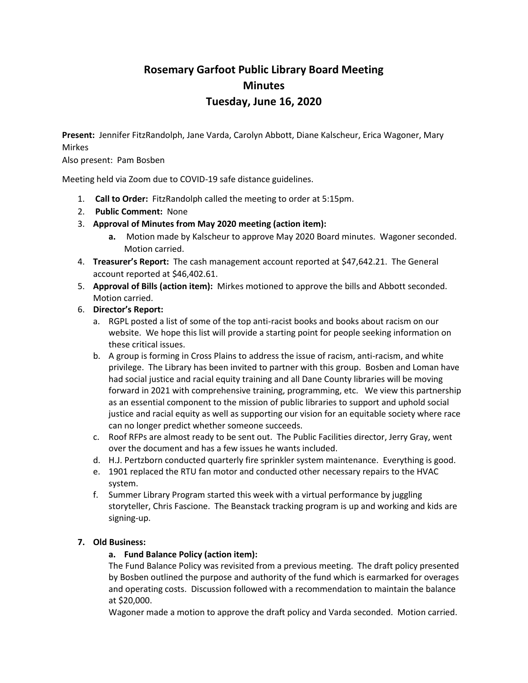# **Rosemary Garfoot Public Library Board Meeting Minutes Tuesday, June 16, 2020**

**Present:** Jennifer FitzRandolph, Jane Varda, Carolyn Abbott, Diane Kalscheur, Erica Wagoner, Mary Mirkes

Also present: Pam Bosben

Meeting held via Zoom due to COVID-19 safe distance guidelines.

- 1. **Call to Order:** FitzRandolph called the meeting to order at 5:15pm.
- 2. **Public Comment:** None
- 3. **Approval of Minutes from May 2020 meeting (action item):**
	- **a.** Motion made by Kalscheur to approve May 2020 Board minutes. Wagoner seconded. Motion carried.
- 4. **Treasurer's Report:** The cash management account reported at \$47,642.21. The General account reported at \$46,402.61.
- 5. **Approval of Bills (action item):** Mirkes motioned to approve the bills and Abbott seconded. Motion carried.
- 6. **Director's Report:**
	- a. RGPL posted a list of some of the top anti-racist books and books about racism on our website. We hope this list will provide a starting point for people seeking information on these critical issues.
	- b. A group is forming in Cross Plains to address the issue of racism, anti-racism, and white privilege. The Library has been invited to partner with this group. Bosben and Loman have had social justice and racial equity training and all Dane County libraries will be moving forward in 2021 with comprehensive training, programming, etc. We view this partnership as an essential component to the mission of public libraries to support and uphold social justice and racial equity as well as supporting our vision for an equitable society where race can no longer predict whether someone succeeds.
	- c. Roof RFPs are almost ready to be sent out. The Public Facilities director, Jerry Gray, went over the document and has a few issues he wants included.
	- d. H.J. Pertzborn conducted quarterly fire sprinkler system maintenance. Everything is good.
	- e. 1901 replaced the RTU fan motor and conducted other necessary repairs to the HVAC system.
	- f. Summer Library Program started this week with a virtual performance by juggling storyteller, Chris Fascione. The Beanstack tracking program is up and working and kids are signing-up.

# **7. Old Business:**

# **a. Fund Balance Policy (action item):**

The Fund Balance Policy was revisited from a previous meeting. The draft policy presented by Bosben outlined the purpose and authority of the fund which is earmarked for overages and operating costs. Discussion followed with a recommendation to maintain the balance at \$20,000.

Wagoner made a motion to approve the draft policy and Varda seconded. Motion carried.